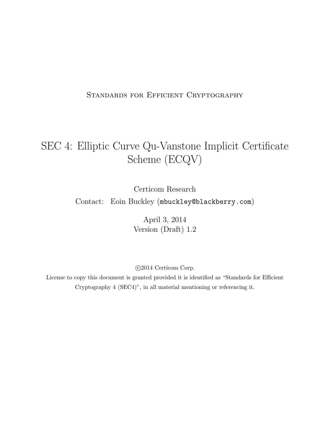#### STANDARDS FOR EFFICIENT CRYPTOGRAPHY

# SEC 4: Elliptic Curve Qu-Vanstone Implicit Certificate Scheme (ECQV)

Certicom Research

Contact: Eoin Buckley (mbuckley@blackberry.com)

April 3, 2014 Version (Draft) 1.2

c 2014 Certicom Corp.

License to copy this document is granted provided it is identified as "Standards for Efficient Cryptography 4 (SEC4)", in all material mentioning or referencing it.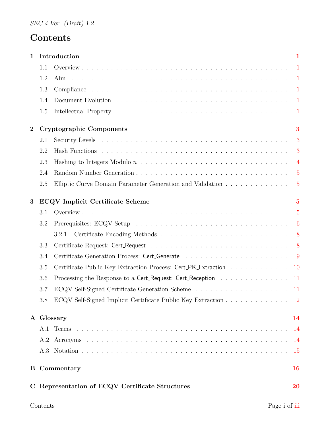# Contents

| 1                |     | Introduction                                                                          | $\mathbf{1}$    |
|------------------|-----|---------------------------------------------------------------------------------------|-----------------|
|                  | 1.1 |                                                                                       | $\blacksquare$  |
|                  | 1.2 | Aim                                                                                   | -1              |
|                  | 1.3 |                                                                                       |                 |
|                  | 1.4 |                                                                                       |                 |
|                  | 1.5 |                                                                                       | $\overline{1}$  |
| $\boldsymbol{2}$ |     | <b>Cryptographic Components</b>                                                       | 3               |
|                  | 2.1 |                                                                                       | 3               |
|                  | 2.2 |                                                                                       | 3               |
|                  | 2.3 |                                                                                       | $\overline{4}$  |
|                  | 2.4 |                                                                                       | $\overline{5}$  |
|                  | 2.5 | Elliptic Curve Domain Parameter Generation and Validation                             | $5\overline{)}$ |
| 3                |     | <b>ECQV</b> Implicit Certificate Scheme                                               | $\overline{5}$  |
|                  | 3.1 |                                                                                       | $\overline{5}$  |
|                  | 3.2 |                                                                                       | 6               |
|                  |     | 3.2.1                                                                                 | 8               |
|                  | 3.3 |                                                                                       | 8               |
|                  | 3.4 |                                                                                       | - 9             |
|                  | 3.5 | Certificate Public Key Extraction Process: Cert_PK_Extraction                         | $10\,$          |
|                  | 3.6 | Processing the Response to a Cert <sub>-Request</sub> : Cert <sub>-Reception</sub> 11 |                 |
|                  | 3.7 |                                                                                       |                 |
|                  | 3.8 | ECQV Self-Signed Implicit Certificate Public Key Extraction                           | 12              |
|                  |     | A Glossary                                                                            | 14              |
|                  |     |                                                                                       | -14             |
|                  | A.2 |                                                                                       | 14              |
|                  |     |                                                                                       | 15              |
|                  |     | <b>B</b> Commentary                                                                   | <b>16</b>       |
|                  |     | C Representation of ECQV Certificate Structures                                       | 20              |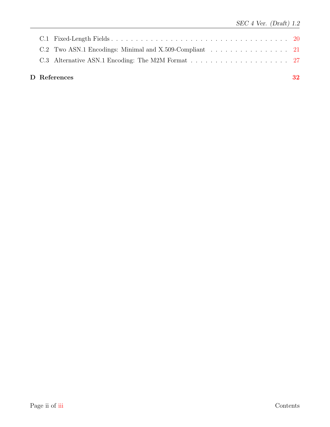|  | D References                                            | 32 |
|--|---------------------------------------------------------|----|
|  |                                                         |    |
|  | C.2 Two ASN.1 Encodings: Minimal and X.509-Compliant 21 |    |
|  |                                                         |    |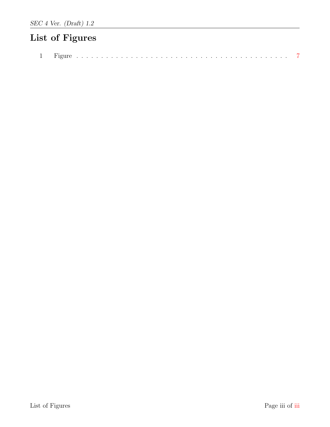# <span id="page-3-0"></span>List of Figures

|--|--|--|--|--|--|--|--|--|--|--|--|--|--|--|--|--|--|--|--|--|--|--|--|--|--|--|--|--|--|--|--|--|--|--|--|--|--|--|--|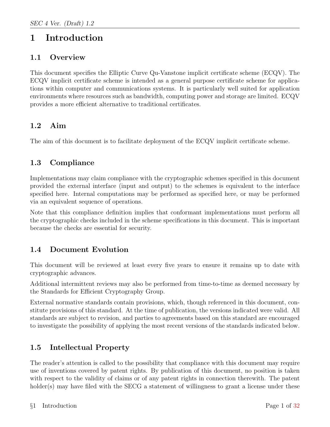# <span id="page-4-0"></span>1 Introduction

## <span id="page-4-1"></span>1.1 Overview

This document specifies the Elliptic Curve Qu-Vanstone implicit certificate scheme (ECQV). The ECQV implicit certificate scheme is intended as a general purpose certificate scheme for applications within computer and communications systems. It is particularly well suited for application environments where resources such as bandwidth, computing power and storage are limited. ECQV provides a more efficient alternative to traditional certificates.

## <span id="page-4-2"></span>1.2 Aim

The aim of this document is to facilitate deployment of the ECQV implicit certificate scheme.

# <span id="page-4-3"></span>1.3 Compliance

Implementations may claim compliance with the cryptographic schemes specified in this document provided the external interface (input and output) to the schemes is equivalent to the interface specified here. Internal computations may be performed as specified here, or may be performed via an equivalent sequence of operations.

Note that this compliance definition implies that conformant implementations must perform all the cryptographic checks included in the scheme specifications in this document. This is important because the checks are essential for security.

## <span id="page-4-4"></span>1.4 Document Evolution

This document will be reviewed at least every five years to ensure it remains up to date with cryptographic advances.

Additional intermittent reviews may also be performed from time-to-time as deemed necessary by the Standards for Efficient Cryptography Group.

External normative standards contain provisions, which, though referenced in this document, constitute provisions of this standard. At the time of publication, the versions indicated were valid. All standards are subject to revision, and parties to agreements based on this standard are encouraged to investigate the possibility of applying the most recent versions of the standards indicated below.

# <span id="page-4-5"></span>1.5 Intellectual Property

The reader's attention is called to the possibility that compliance with this document may require use of inventions covered by patent rights. By publication of this document, no position is taken with respect to the validity of claims or of any patent rights in connection therewith. The patent holder(s) may have filed with the SECG a statement of willingness to grant a license under these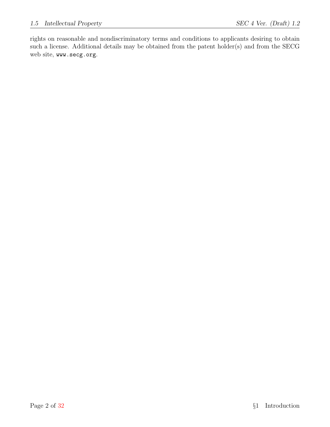rights on reasonable and nondiscriminatory terms and conditions to applicants desiring to obtain such a license. Additional details may be obtained from the patent holder(s) and from the SECG web site, www.secg.org.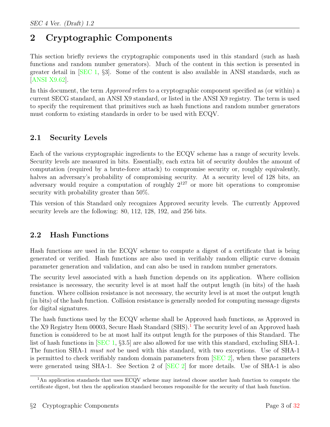# <span id="page-6-0"></span>2 Cryptographic Components

This section briefly reviews the cryptographic components used in this standard (such as hash functions and random number generators). Much of the content in this section is presented in greater detail in [\[SEC 1,](#page-35-2) §3]. Some of the content is also available in ANSI standards, such as [\[ANSI X9.62\]](#page-35-3).

In this document, the term *Approved* refers to a cryptographic component specified as (or within) a current SECG standard, an ANSI X9 standard, or listed in the ANSI X9 registry. The term is used to specify the requirement that primitives such as hash functions and random number generators must conform to existing standards in order to be used with ECQV.

# <span id="page-6-1"></span>2.1 Security Levels

Each of the various cryptographic ingredients to the ECQV scheme has a range of security levels. Security levels are measured in bits. Essentially, each extra bit of security doubles the amount of computation (required by a brute-force attack) to compromise security or, roughly equivalently, halves an adversary's probability of compromising security. At a security level of 128 bits, an adversary would require a computation of roughly  $2^{127}$  or more bit operations to compromise security with probability greater than 50%.

This version of this Standard only recognizes Approved security levels. The currently Approved security levels are the following: 80, 112, 128, 192, and 256 bits.

# <span id="page-6-2"></span>2.2 Hash Functions

Hash functions are used in the ECQV scheme to compute a digest of a certificate that is being generated or verified. Hash functions are also used in verifiably random elliptic curve domain parameter generation and validation, and can also be used in random number generators.

The security level associated with a hash function depends on its application. Where collision resistance is necessary, the security level is at most half the output length (in bits) of the hash function. Where collision resistance is not necessary, the security level is at most the output length (in bits) of the hash function. Collision resistance is generally needed for computing message digests for digital signatures.

The hash functions used by the ECQV scheme shall be Approved hash functions, as Approved in the X9 Registry Item 00003, Secure Hash Standard  $(SHS)$ .<sup>[1](#page-6-3)</sup> The security level of an Approved hash function is considered to be at most half its output length for the purposes of this Standard. The list of hash functions in [\[SEC 1,](#page-35-2) §3.5] are also allowed for use with this standard, excluding SHA-1. The function SHA-1 must not be used with this standard, with two exceptions. Use of SHA-1 is permitted to check verifiably random domain parameters from [\[SEC 2\]](#page-35-4), when these parameters were generated using SHA-1. See Section 2 of [\[SEC 2\]](#page-35-4) for more details. Use of SHA-1 is also

<span id="page-6-3"></span><sup>&</sup>lt;sup>1</sup>An application standards that uses ECQV scheme may instead choose another hash function to compute the certificate digest, but then the application standard becomes responsible for the security of that hash function.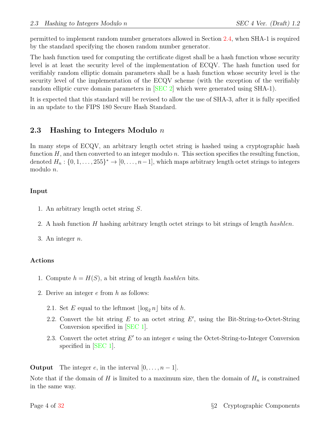permitted to implement random number generators allowed in Section [2.4,](#page-8-0) when SHA-1 is required by the standard specifying the chosen random number generator.

The hash function used for computing the certificate digest shall be a hash function whose security level is at least the security level of the implementation of ECQV. The hash function used for verifiably random elliptic domain parameters shall be a hash function whose security level is the security level of the implementation of the ECQV scheme (with the exception of the verifiably random elliptic curve domain parameters in [\[SEC 2\]](#page-35-4) which were generated using SHA-1).

It is expected that this standard will be revised to allow the use of SHA-3, after it is fully specified in an update to the FIPS 180 Secure Hash Standard.

### <span id="page-7-0"></span>2.3 Hashing to Integers Modulo  $n$

In many steps of ECQV, an arbitrary length octet string is hashed using a cryptographic hash function  $H$ , and then converted to an integer modulo n. This section specifies the resulting function, denoted  $H_n: \{0, 1, \ldots, 255\}^* \to [0, \ldots, n-1]$ , which maps arbitrary length octet strings to integers modulo n.

#### Input

- 1. An arbitrary length octet string S.
- 2. A hash function H hashing arbitrary length octet strings to bit strings of length hashlen.

3. An integer  $n$ .

#### Actions

- 1. Compute  $h = H(S)$ , a bit string of length *hashlen* bits.
- 2. Derive an integer e from h as follows:
	- 2.1. Set E equal to the leftmost  $\lfloor \log_2 n \rfloor$  bits of h.
	- 2.2. Convert the bit string  $E$  to an octet string  $E'$ , using the Bit-String-to-Octet-String Conversion specified in [\[SEC 1\]](#page-35-2).
	- 2.3. Convert the octet string  $E'$  to an integer  $e$  using the Octet-String-to-Integer Conversion specified in [\[SEC 1\]](#page-35-2).

**Output** The integer e, in the interval  $[0, \ldots, n-1]$ .

Note that if the domain of H is limited to a maximum size, then the domain of  $H_n$  is constrained in the same way.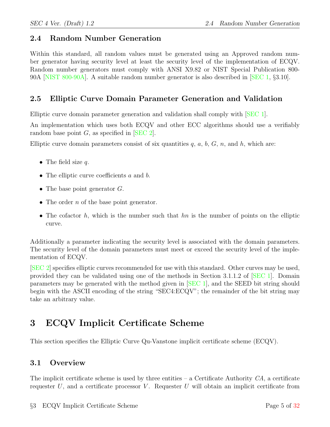## <span id="page-8-0"></span>2.4 Random Number Generation

Within this standard, all random values must be generated using an Approved random number generator having security level at least the security level of the implementation of ECQV. Random number generators must comply with ANSI X9.82 or NIST Special Publication 800- 90A [\[NIST 800-90A\]](#page-35-5). A suitable random number generator is also described in [\[SEC 1,](#page-35-2) §3.10].

# <span id="page-8-1"></span>2.5 Elliptic Curve Domain Parameter Generation and Validation

Elliptic curve domain parameter generation and validation shall comply with [\[SEC 1\]](#page-35-2).

An implementation which uses both ECQV and other ECC algorithms should use a verifiably random base point  $G$ , as specified in  $[SEC 2]$ .

Elliptic curve domain parameters consist of six quantities  $q, a, b, G, n$ , and h, which are:

- The field size  $q$ .
- The elliptic curve coefficients a and b.
- The base point generator  $G$ .
- The order  $n$  of the base point generator.
- The cofactor  $h$ , which is the number such that  $hn$  is the number of points on the elliptic curve.

Additionally a parameter indicating the security level is associated with the domain parameters. The security level of the domain parameters must meet or exceed the security level of the implementation of ECQV.

[\[SEC 2\]](#page-35-4) specifies elliptic curves recommended for use with this standard. Other curves may be used, provided they can be validated using one of the methods in Section 3.1.1.2 of [\[SEC 1\]](#page-35-2). Domain parameters may be generated with the method given in [\[SEC 1\]](#page-35-2), and the SEED bit string should begin with the ASCII encoding of the string "SEC4:ECQV"; the remainder of the bit string may take an arbitrary value.

# <span id="page-8-2"></span>3 ECQV Implicit Certificate Scheme

This section specifies the Elliptic Curve Qu-Vanstone implicit certificate scheme (ECQV).

## <span id="page-8-3"></span>3.1 Overview

The implicit certificate scheme is used by three entities  $-$  a Certificate Authority  $CA$ , a certificate requester  $U$ , and a certificate processor  $V$ . Requester  $U$  will obtain an implicit certificate from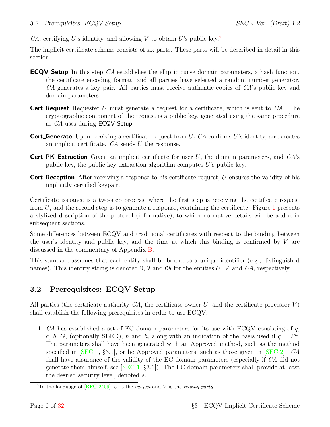CA, certifying U's identity, and allowing V to obtain U's public key.<sup>[2](#page-9-1)</sup>

The implicit certificate scheme consists of six parts. These parts will be described in detail in this section.

- **ECQV Setup** In this step CA establishes the elliptic curve domain parameters, a hash function, the certificate encoding format, and all parties have selected a random number generator. CA generates a key pair. All parties must receive authentic copies of CA's public key and domain parameters.
- **Cert Request** Requester U must generate a request for a certificate, which is sent to  $CA$ . The cryptographic component of the request is a public key, generated using the same procedure as CA uses during **ECQV** Setup.
- **Cert Generate** Upon receiving a certificate request from U,  $CA$  confirms U's identity, and creates an implicit certificate.  $CA$  sends  $U$  the response.
- **Cert\_PK\_Extraction** Given an implicit certificate for user  $U$ , the domain parameters, and  $CA$ 's public key, the public key extraction algorithm computes  $U$ 's public key.
- **Cert Reception** After receiving a response to his certificate request, U ensures the validity of his implicitly certified keypair.

Certificate issuance is a two-step process, where the first step is receiving the certificate request from  $U$ , and the second step is to generate a response, containing the certificate. Figure [1](#page-10-0) presents a stylized description of the protocol (informative), to which normative details will be added in subsequent sections.

Some differences between ECQV and traditional certificates with respect to the binding between the user's identity and public key, and the time at which this binding is confirmed by  $V$  are discussed in the commentary of Appendix [B.](#page-19-0)

This standard assumes that each entity shall be bound to a unique identifier (e.g., distinguished names). This identity string is denoted U, V and CA for the entities  $U, V$  and  $CA$ , respectively.

# <span id="page-9-0"></span>3.2 Prerequisites: ECQV Setup

All parties (the certificate authority  $CA$ , the certificate owner U, and the certificate processor V) shall establish the following prerequisites in order to use ECQV.

<span id="page-9-2"></span>1. CA has established a set of EC domain parameters for its use with ECQV consisting of  $q$ , a, b, G, (optionally SEED), n and h, along with an indication of the basis used if  $q = 2^m$ . The parameters shall have been generated with an Approved method, such as the method specified in  $|SEC 1, §3.1|$ , or be Approved parameters, such as those given in  $|SEC 2|$ . CA shall have assurance of the validity of the EC domain parameters (especially if CA did not generate them himself, see  $[SEC 1, §3.1]$  $[SEC 1, §3.1]$ . The EC domain parameters shall provide at least the desired security level, denoted s.

<span id="page-9-1"></span><sup>&</sup>lt;sup>2</sup>In the language of [\[RFC 2459\]](#page-35-6), U is the *subject* and V is the *relying party*.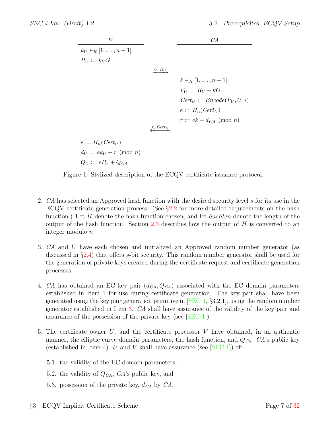

Figure 1: Stylized description of the ECQV certificate issuance protocol.

- 2. CA has selected an Approved hash function with the desired security level s for its use in the ECQV certificate generation process. (See  $\S 2.2$  $\S 2.2$  for more detailed requirements on the hash function.) Let H denote the hash function chosen, and let *hashlen* denote the length of the output of the hash function. Section [2.3](#page-7-0) describes how the output of  $H$  is converted to an integer modulo n.
- <span id="page-10-1"></span>3. CA and U have each chosen and initialized an Approved random number generator (as discussed in §[2.4\)](#page-8-0) that offers s-bit security. This random number generator shall be used for the generation of private keys created during the certificate request and certificate generation processes.
- <span id="page-10-2"></span>4. CA has obtained an EC key pair  $(d_{CA}, Q_{CA})$  associated with the EC domain parameters established in Item [1](#page-9-2) for use during certificate generation. The key pair shall have been generated using the key pair generation primitive in [\[SEC 1,](#page-35-2) §3.2.1], using the random number generator established in Item [3.](#page-10-1) CA shall have assurance of the validity of the key pair and assurance of the possession of the private key (see [\[SEC 1\]](#page-35-2)).
- 5. The certificate owner U, and the certificate processor V have obtained, in an authentic manner, the elliptic curve domain parameters, the hash function, and  $Q_{CA}$ ,  $CA$ 's public key (established in Item [4\)](#page-10-2). U and V shall have assurance (see  $[SEC 1]$ ) of:
	- 5.1. the validity of the EC domain parameters,

<span id="page-10-0"></span> $Q_U := e P_U + Q_{CA}$ 

- 5.2. the validity of  $Q_{CA}$ ,  $CA$ 's public key, and
- 5.3. possession of the private key,  $d_{CA}$  by  $CA$ .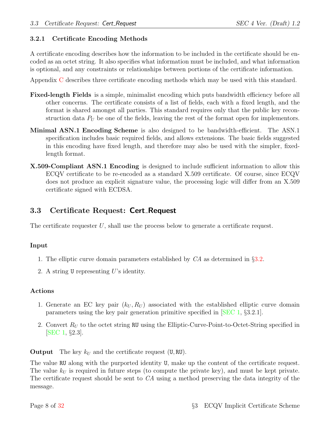#### <span id="page-11-0"></span>3.2.1 Certificate Encoding Methods

A certificate encoding describes how the information to be included in the certificate should be encoded as an octet string. It also specifies what information must be included, and what information is optional, and any constraints or relationships between portions of the certificate information.

Appendix [C](#page-23-0) describes three certificate encoding methods which may be used with this standard.

- Fixed-length Fields is a simple, minimalist encoding which puts bandwidth efficiency before all other concerns. The certificate consists of a list of fields, each with a fixed length, and the format is shared amongst all parties. This standard requires only that the public key reconstruction data  $P_U$  be one of the fields, leaving the rest of the format open for implementors.
- Minimal ASN.1 Encoding Scheme is also designed to be bandwidth-efficient. The ASN.1 specification includes basic required fields, and allows extensions. The basic fields suggested in this encoding have fixed length, and therefore may also be used with the simpler, fixedlength format.
- X.509-Compliant ASN.1 Encoding is designed to include sufficient information to allow this ECQV certificate to be re-encoded as a standard X.509 certificate. Of course, since ECQV does not produce an explicit signature value, the processing logic will differ from an X.509 certificate signed with ECDSA.

### <span id="page-11-1"></span>3.3 Certificate Request: Cert Request

The certificate requester  $U$ , shall use the process below to generate a certificate request.

#### Input

- 1. The elliptic curve domain parameters established by CA as determined in §[3.2.](#page-9-0)
- 2. A string U representing U's identity.

#### Actions

- 1. Generate an EC key pair  $(k_U, R_U)$  associated with the established elliptic curve domain parameters using the key pair generation primitive specified in [\[SEC 1,](#page-35-2) §3.2.1].
- 2. Convert  $R_U$  to the octet string RU using the Elliptic-Curve-Point-to-Octet-String specified in [\[SEC 1,](#page-35-2) §2.3].

**Output** The key  $k_U$  and the certificate request (U, RU).

The value RU along with the purported identity U, make up the content of the certificate request. The value  $k_U$  is required in future steps (to compute the private key), and must be kept private. The certificate request should be sent to CA using a method preserving the data integrity of the message.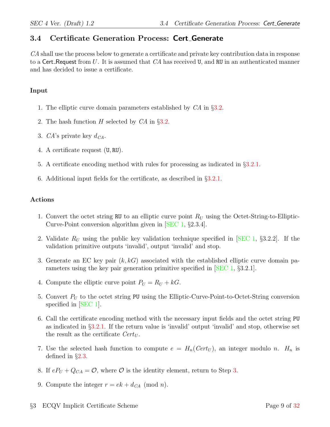# <span id="page-12-0"></span>3.4 Certificate Generation Process: Cert Generate

CA shall use the process below to generate a certificate and private key contribution data in response to a Cert Request from  $U$ . It is assumed that  $CA$  has received  $U$ , and RU in an authenticated manner and has decided to issue a certificate.

#### Input

- 1. The elliptic curve domain parameters established by CA in §[3.2.](#page-9-0)
- 2. The hash function H selected by CA in §[3.2.](#page-9-0)
- 3. CA's private key  $d_{CA}$ .
- 4. A certificate request (U, RU).
- 5. A certificate encoding method with rules for processing as indicated in §[3.2.1.](#page-11-0)
- 6. Additional input fields for the certificate, as described in §[3.2.1.](#page-11-0)

#### Actions

- 1. Convert the octet string RU to an elliptic curve point  $R_U$  using the Octet-String-to-Elliptic-Curve-Point conversion algorithm given in [\[SEC 1,](#page-35-2) §2.3.4].
- 2. Validate  $R_U$  using the public key validation technique specified in [\[SEC 1,](#page-35-2) §3.2.2]. If the validation primitive outputs 'invalid', output 'invalid' and stop.
- <span id="page-12-1"></span>3. Generate an EC key pair  $(k, k)$  associated with the established elliptic curve domain parameters using the key pair generation primitive specified in [\[SEC 1,](#page-35-2) §3.2.1].
- 4. Compute the elliptic curve point  $P_U = R_U + kG$ .
- 5. Convert  $P_U$  to the octet string PU using the Elliptic-Curve-Point-to-Octet-String conversion specified in [\[SEC 1\]](#page-35-2).
- 6. Call the certificate encoding method with the necessary input fields and the octet string PU as indicated in §[3.2.1.](#page-11-0) If the return value is 'invalid' output 'invalid' and stop, otherwise set the result as the certificate  $Cert_U$ .
- 7. Use the selected hash function to compute  $e = H_n(Cert_U)$ , an integer modulo n.  $H_n$  is defined in §[2.3.](#page-7-0)
- 8. If  $eP_U + Q_{CA} = \mathcal{O}$ , where  $\mathcal O$  is the identity element, return to Step [3.](#page-12-1)
- 9. Compute the integer  $r = ek + d_{CA} \pmod{n}$ .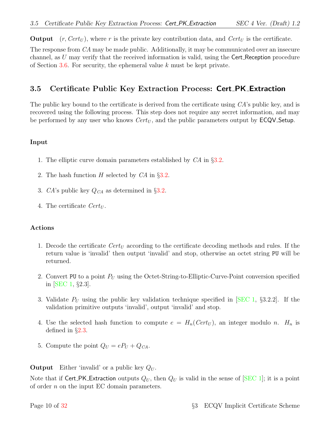**Output**  $(r, Cert_U)$ , where r is the private key contribution data, and  $Cert_U$  is the certificate.

The response from CA may be made public. Additionally, it may be communicated over an insecure channel, as  $U$  may verify that the received information is valid, using the Cert Reception procedure of Section [3.6.](#page-14-0) For security, the ephemeral value k must be kept private.

## <span id="page-13-0"></span>3.5 Certificate Public Key Extraction Process: Cert PK Extraction

The public key bound to the certificate is derived from the certificate using CA's public key, and is recovered using the following process. This step does not require any secret information, and may be performed by any user who knows  $Cert_U$ , and the public parameters output by  $\text{ECQV}\text{-}\text{Setup}.$ 

#### Input

- 1. The elliptic curve domain parameters established by CA in §[3.2.](#page-9-0)
- 2. The hash function  $H$  selected by  $CA$  in §[3.2.](#page-9-0)
- 3. CA's public key  $Q_{CA}$  as determined in §[3.2.](#page-9-0)
- 4. The certificate  $Cert_U$ .

#### Actions

- 1. Decode the certificate  $Cert_U$  according to the certificate decoding methods and rules. If the return value is 'invalid' then output 'invalid' and stop, otherwise an octet string PU will be returned.
- 2. Convert PU to a point  $P_U$  using the Octet-String-to-Elliptic-Curve-Point conversion specified in [\[SEC 1,](#page-35-2) §2.3].
- 3. Validate  $P_U$  using the public key validation technique specified in [\[SEC 1,](#page-35-2) §3.2.2]. If the validation primitive outputs 'invalid', output 'invalid' and stop.
- 4. Use the selected hash function to compute  $e = H_n(Cert_U)$ , an integer modulo n.  $H_n$  is defined in §[2.3.](#page-7-0)
- 5. Compute the point  $Q_U = eP_U + Q_{CA}$ .

**Output** Either 'invalid' or a public key  $Q_U$ .

Note that if Cert PK Extraction outputs  $Q_U$ , then  $Q_U$  is valid in the sense of SEC 1; it is a point of order n on the input EC domain parameters.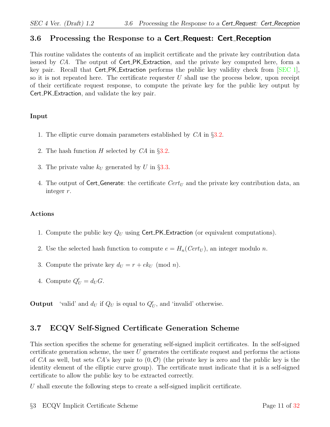## <span id="page-14-0"></span>3.6 Processing the Response to a Cert Request: Cert Reception

This routine validates the contents of an implicit certificate and the private key contribution data issued by CA. The output of Cert\_PK\_Extraction, and the private key computed here, form a key pair. Recall that Cert PK Extraction performs the public key validity check from [\[SEC 1\]](#page-35-2), so it is not repeated here. The certificate requester  $U$  shall use the process below, upon receipt of their certificate request response, to compute the private key for the public key output by Cert PK Extraction, and validate the key pair.

#### Input

- 1. The elliptic curve domain parameters established by CA in §[3.2.](#page-9-0)
- 2. The hash function  $H$  selected by  $CA$  in §[3.2.](#page-9-0)
- 3. The private value  $k_U$  generated by U in §[3.3.](#page-11-1)
- 4. The output of Cert<sub>-Generate: the certificate  $Cert_U$  and the private key contribution data, an</sub> integer r.

#### Actions

- 1. Compute the public key  $Q_U$  using Cert\_PK\_Extraction (or equivalent computations).
- 2. Use the selected hash function to compute  $e = H_n(Cert_U)$ , an integer modulo n.
- 3. Compute the private key  $d_U = r + e k_U \pmod{n}$ .
- 4. Compute  $Q'_U = d_U G$ .

**Output** 'valid' and  $d_U$  if  $Q_U$  is equal to  $Q'_U$ , and 'invalid' otherwise.

# <span id="page-14-1"></span>3.7 ECQV Self-Signed Certificate Generation Scheme

This section specifies the scheme for generating self-signed implicit certificates. In the self-signed certificate generation scheme, the user  $U$  generates the certificate request and performs the actions of CA as well, but sets CA's key pair to  $(0, \mathcal{O})$  (the private key is zero and the public key is the identity element of the elliptic curve group). The certificate must indicate that it is a self-signed certificate to allow the public key to be extracted correctly.

U shall execute the following steps to create a self-signed implicit certificate.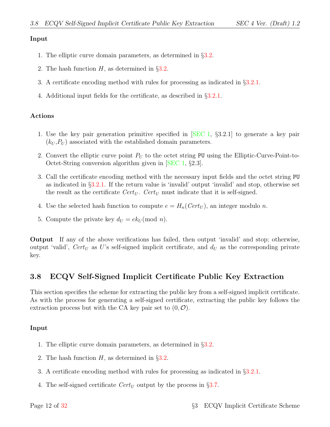#### Input

- 1. The elliptic curve domain parameters, as determined in §[3.2.](#page-9-0)
- 2. The hash function  $H$ , as determined in §[3.2.](#page-9-0)
- 3. A certificate encoding method with rules for processing as indicated in §[3.2.1.](#page-11-0)
- 4. Additional input fields for the certificate, as described in §[3.2.1.](#page-11-0)

#### Actions

- 1. Use the key pair generation primitive specified in [\[SEC 1,](#page-35-2) §3.2.1] to generate a key pair  $(k_U, P_U)$  associated with the established domain parameters.
- 2. Convert the elliptic curve point  $P_U$  to the octet string PU using the Elliptic-Curve-Point-to-Octet-String conversion algorithm given in [\[SEC 1,](#page-35-2) §2.3].
- 3. Call the certificate encoding method with the necessary input fields and the octet string PU as indicated in §[3.2.1.](#page-11-0) If the return value is 'invalid' output 'invalid' and stop, otherwise set the result as the certificate  $Cert_U$ .  $Cert_U$  must indicate that it is self-signed.
- 4. Use the selected hash function to compute  $e = H_n(Cert_U)$ , an integer modulo n.
- 5. Compute the private key  $d_U = e k_U \pmod{n}$ .

Output If any of the above verifications has failed, then output 'invalid' and stop; otherwise, output 'valid',  $Cert_U$  as U's self-signed implicit certificate, and  $d_U$  as the corresponding private key.

## <span id="page-15-0"></span>3.8 ECQV Self-Signed Implicit Certificate Public Key Extraction

This section specifies the scheme for extracting the public key from a self-signed implicit certificate. As with the process for generating a self-signed certificate, extracting the public key follows the extraction process but with the CA key pair set to  $(0, \mathcal{O})$ .

#### Input

- 1. The elliptic curve domain parameters, as determined in §[3.2.](#page-9-0)
- 2. The hash function  $H$ , as determined in  $\S 3.2$ .
- 3. A certificate encoding method with rules for processing as indicated in §[3.2.1.](#page-11-0)
- 4. The self-signed certificate  $Cert_U$  output by the process in §[3.7.](#page-14-1)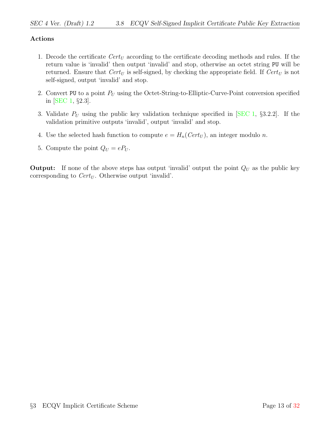#### Actions

- 1. Decode the certificate  $Cert_U$  according to the certificate decoding methods and rules. If the return value is 'invalid' then output 'invalid' and stop, otherwise an octet string PU will be returned. Ensure that  $Cert_U$  is self-signed, by checking the appropriate field. If  $Cert_U$  is not self-signed, output 'invalid' and stop.
- 2. Convert PU to a point  $P_U$  using the Octet-String-to-Elliptic-Curve-Point conversion specified in [\[SEC 1,](#page-35-2) §2.3].
- 3. Validate  $P_U$  using the public key validation technique specified in [\[SEC 1,](#page-35-2) §3.2.2]. If the validation primitive outputs 'invalid', output 'invalid' and stop.
- 4. Use the selected hash function to compute  $e = H_n(Cert_U)$ , an integer modulo n.
- 5. Compute the point  $Q_U = eP_U$ .

**Output:** If none of the above steps has output 'invalid' output the point  $Q_U$  as the public key corresponding to  $Cert_U$ . Otherwise output 'invalid'.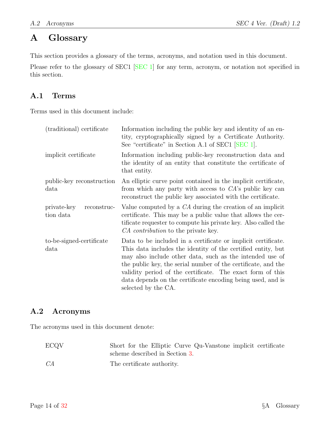# <span id="page-17-0"></span>A Glossary

This section provides a glossary of the terms, acronyms, and notation used in this document.

Please refer to the glossary of SEC1 [\[SEC 1\]](#page-35-2) for any term, acronym, or notation not specified in this section.

# <span id="page-17-1"></span>A.1 Terms

Terms used in this document include:

| (traditional) certificate               | Information including the public key and identity of an en-<br>tity, cryptographically signed by a Certificate Authority.<br>See "certificate" in Section A.1 of SEC1 [SEC 1].                                                                                                                                                                                                                                 |
|-----------------------------------------|----------------------------------------------------------------------------------------------------------------------------------------------------------------------------------------------------------------------------------------------------------------------------------------------------------------------------------------------------------------------------------------------------------------|
| implicit certificate                    | Information including public-key reconstruction data and<br>the identity of an entity that constitute the certificate of<br>that entity.                                                                                                                                                                                                                                                                       |
| public-key reconstruction<br>data       | An elliptic curve point contained in the implicit certificate,<br>from which any party with access to $CA$ 's public key can<br>reconstruct the public key associated with the certificate.                                                                                                                                                                                                                    |
| private-key<br>reconstruc-<br>tion data | Value computed by a $CA$ during the creation of an implicit<br>certificate. This may be a public value that allows the cer-<br>tificate requester to compute his private key. Also called the<br>CA contribution to the private key.                                                                                                                                                                           |
| to-be-signed-certificate<br>data        | Data to be included in a certificate or implicit certificate.<br>This data includes the identity of the certified entity, but<br>may also include other data, such as the intended use of<br>the public key, the serial number of the certificate, and the<br>validity period of the certificate. The exact form of this<br>data depends on the certificate encoding being used, and is<br>selected by the CA. |

# <span id="page-17-2"></span>A.2 Acronyms

The acronyms used in this document denote:

| <b>ECQV</b> | Short for the Elliptic Curve Qu-Vanstone implicit certificate |
|-------------|---------------------------------------------------------------|
|             | scheme described in Section 3.                                |
| CA          | The certificate authority.                                    |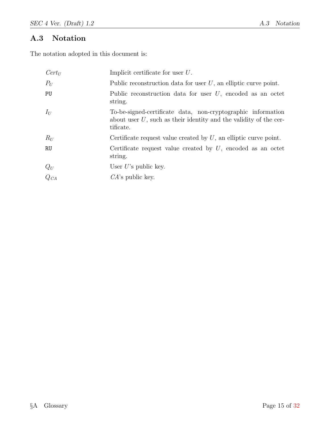# <span id="page-18-0"></span>A.3 Notation

The notation adopted in this document is:

| $Cert_U$                          | Implicit certificate for user $U$ .                                                                                                               |
|-----------------------------------|---------------------------------------------------------------------------------------------------------------------------------------------------|
| $P_U$                             | Public reconstruction data for user $U$ , an elliptic curve point.                                                                                |
| PU                                | Public reconstruction data for user $U$ , encoded as an octet<br>string.                                                                          |
| $I_U$                             | To-be-signed-certificate data, non-cryptographic information<br>about user $U$ , such as their identity and the validity of the cer-<br>tificate. |
| $R_U$                             | Certificate request value created by $U$ , an elliptic curve point.                                                                               |
| <b>RU</b>                         | Certificate request value created by $U$ , encoded as an octet<br>string.                                                                         |
|                                   | User $U$ 's public key.                                                                                                                           |
| $\displaystyle{Q_U \over Q_{CA}}$ | $CA$ 's public key.                                                                                                                               |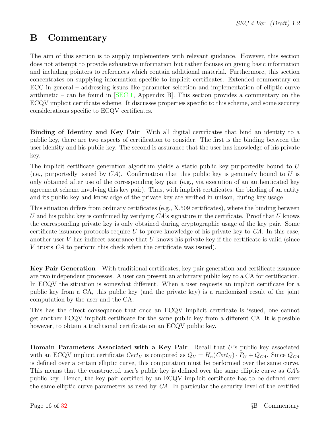# <span id="page-19-0"></span>B Commentary

The aim of this section is to supply implementers with relevant guidance. However, this section does not attempt to provide exhaustive information but rather focuses on giving basic information and including pointers to references which contain additional material. Furthermore, this section concentrates on supplying information specific to implicit certificates. Extended commentary on ECC in general – addressing issues like parameter selection and implementation of elliptic curve arithmetic – can be found in  $[SEC 1, Appendix B].$  $[SEC 1, Appendix B].$  This section provides a commentary on the ECQV implicit certificate scheme. It discusses properties specific to this scheme, and some security considerations specific to ECQV certificates.

Binding of Identity and Key Pair With all digital certificates that bind an identity to a public key, there are two aspects of certification to consider. The first is the binding between the user identity and his public key. The second is assurance that the user has knowledge of his private key.

The implicit certificate generation algorithm yields a static public key purportedly bound to U (i.e., purportedly issued by  $CA$ ). Confirmation that this public key is genuinely bound to U is only obtained after use of the corresponding key pair (e.g., via execution of an authenticated key agreement scheme involving this key pair). Thus, with implicit certificates, the binding of an entity and its public key and knowledge of the private key are verified in unison, during key usage.

This situation differs from ordinary certificates (e.g., X.509 certificates), where the binding between U and his public key is confirmed by verifying  $CA$ 's signature in the certificate. Proof that U knows the corresponding private key is only obtained during cryptographic usage of the key pair. Some certificate issuance protocols require U to prove knowledge of his private key to  $CA$ . In this case, another user  $V$  has indirect assurance that  $U$  knows his private key if the certificate is valid (since V trusts CA to perform this check when the certificate was issued).

Key Pair Generation With traditional certificates, key pair generation and certificate issuance are two independent processes. A user can present an arbitrary public key to a CA for certification. In ECQV the situation is somewhat different. When a user requests an implicit certificate for a public key from a CA, this public key (and the private key) is a randomized result of the joint computation by the user and the CA.

This has the direct consequence that once an ECQV implicit certificate is issued, one cannot get another ECQV implicit certificate for the same public key from a different CA. It is possible however, to obtain a traditional certificate on an ECQV public key.

Domain Parameters Associated with a Key Pair Recall that U's public key associated with an ECQV implicit certificate  $Cert_U$  is computed as  $Q_U = H_n(Cert_U) \cdot P_U + Q_{CA}$ . Since  $Q_{CA}$ is defined over a certain elliptic curve, this computation must be performed over the same curve. This means that the constructed user's public key is defined over the same elliptic curve as CA's public key. Hence, the key pair certified by an ECQV implicit certificate has to be defined over the same elliptic curve parameters as used by CA. In particular the security level of the certified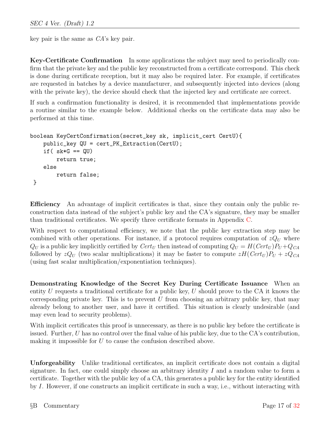key pair is the same as CA's key pair.

Key-Certificate Confirmation In some applications the subject may need to periodically confirm that the private key and the public key reconstructed from a certificate correspond. This check is done during certificate reception, but it may also be required later. For example, if certificates are requested in batches by a device manufacturer, and subsequently injected into devices (along with the private key), the device should check that the injected key and certificate are correct.

If such a confirmation functionality is desired, it is recommended that implementations provide a routine similar to the example below. Additional checks on the certificate data may also be performed at this time.

```
boolean KeyCertConfirmation(secret_key sk, implicit_cert CertU){
    public_key QU = cert_PK_Extraction(CertU);
    if( sk*G == QU)
        return true;
    else
        return false;
 }
```
Efficiency An advantage of implicit certificates is that, since they contain only the public reconstruction data instead of the subject's public key and the CA's signature, they may be smaller than traditional certificates. We specify three certificate formats in Appendix [C.](#page-23-0)

With respect to computational efficiency, we note that the public key extraction step may be combined with other operations. For instance, if a protocol requires computation of  $zQ_U$  where  $Q_U$  is a public key implicitly certified by  $Cert_U$  then instead of computing  $Q_U = H(Cert_U)P_U + Q_{CA}$ followed by  $zQ_U$  (two scalar multiplications) it may be faster to compute  $zH(Cer_{U})P_U + zQ_{CA}$ (using fast scalar multiplication/exponentiation techniques).

Demonstrating Knowledge of the Secret Key During Certificate Issuance When an entity U requests a traditional certificate for a public key, U should prove to the CA it knows the corresponding private key. This is to prevent  $U$  from choosing an arbitrary public key, that may already belong to another user, and have it certified. This situation is clearly undesirable (and may even lead to security problems).

With implicit certificates this proof is unnecessary, as there is no public key before the certificate is issued. Further, U has no control over the final value of his public key, due to the CA's contribution, making it impossible for U to cause the confusion described above.

Unforgeability Unlike traditional certificates, an implicit certificate does not contain a digital signature. In fact, one could simply choose an arbitrary identity  $I$  and a random value to form a certificate. Together with the public key of a CA, this generates a public key for the entity identified by I. However, if one constructs an implicit certificate in such a way, i.e., without interacting with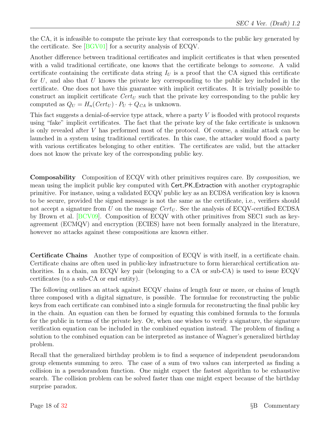the CA, it is infeasible to compute the private key that corresponds to the public key generated by the certificate. See [\[BGV01\]](#page-35-7) for a security analysis of ECQV.

Another difference between traditional certificates and implicit certificates is that when presented with a valid traditional certificate, one knows that the certificate belongs to *someone*. A valid certificate containing the certificate data string  $I_U$  is a proof that the CA signed this certificate for  $U$ , and also that  $U$  knows the private key corresponding to the public key included in the certificate. One does not have this guarantee with implicit certificates. It is trivially possible to construct an implicit certificate  $Cert_U$  such that the private key corresponding to the public key computed as  $Q_U = H_n(Cert_U) \cdot P_U + Q_{CA}$  is unknown.

This fact suggests a denial-of-service type attack, where a party  $V$  is flooded with protocol requests using "fake" implicit certificates. The fact that the private key of the fake certificate is unknown is only revealed after V has performed most of the protocol. Of course, a similar attack can be launched in a system using traditional certificates. In this case, the attacker would flood a party with various certificates belonging to other entities. The certificates are valid, but the attacker does not know the private key of the corresponding public key.

Composability Composition of ECQV with other primitives requires care. By composition, we mean using the implicit public key computed with Cert PK Extraction with another cryptographic primitive. For instance, using a validated ECQV public key as an ECDSA verification key is known to be secure, provided the signed message is not the same as the certificate, i.e., verifiers should not accept a signature from U on the message  $Cert_U$ . See the analysis of ECQV-certified ECDSA by Brown et al. [\[BCV09\]](#page-35-8). Composition of ECQV with other primitives from SEC1 such as keyagreement (ECMQV) and encryption (ECIES) have not been formally analyzed in the literature, however no attacks against these compositions are known either.

Certificate Chains Another type of composition of ECQV is with itself, in a certificate chain. Certificate chains are often used in public-key infrastructure to form hierarchical certification authorities. In a chain, an ECQV key pair (belonging to a CA or sub-CA) is used to issue ECQV certificates (to a sub-CA or end entity).

The following outlines an attack against ECQV chains of length four or more, or chains of length three composed with a digital signature, is possible. The formulae for reconstructing the public keys from each certificate can combined into a single formula for reconstructing the final public key in the chain. An equation can then be formed by equating this combined formula to the formula for the public in terms of the private key. Or, when one wishes to verify a signature, the signature verification equation can be included in the combined equation instead. The problem of finding a solution to the combined equation can be interpreted as instance of Wagner's generalized birthday problem.

Recall that the generalized birthday problem is to find a sequence of independent pseudorandom group elements summing to zero. The case of a sum of two values can interpreted as finding a collision in a pseudorandom function. One might expect the fastest algorithm to be exhaustive search. The collision problem can be solved faster than one might expect because of the birthday surprise paradox.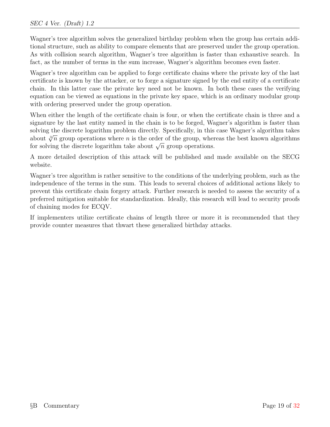Wagner's tree algorithm solves the generalized birthday problem when the group has certain additional structure, such as ability to compare elements that are preserved under the group operation. As with collision search algorithm, Wagner's tree algorithm is faster than exhaustive search. In fact, as the number of terms in the sum increase, Wagner's algorithm becomes even faster.

Wagner's tree algorithm can be applied to forge certificate chains where the private key of the last certificate is known by the attacker, or to forge a signature signed by the end entity of a certificate chain. In this latter case the private key need not be known. In both these cases the verifying equation can be viewed as equations in the private key space, which is an ordinary modular group with ordering preserved under the group operation.

When either the length of the certificate chain is four, or when the certificate chain is three and a signature by the last entity named in the chain is to be forged, Wagner's algorithm is faster than solving the discrete logarithm problem directly. Specifically, in this case Wagner's algorithm takes about  $\sqrt[3]{n}$  group operations where n is the order of the group, whereas the best known algorithms about  $\sqrt{n}$  group operations where *n* is the order of the group, when<br>for solving the discrete logarithm take about  $\sqrt{n}$  group operations.

A more detailed description of this attack will be published and made available on the SECG website.

Wagner's tree algorithm is rather sensitive to the conditions of the underlying problem, such as the independence of the terms in the sum. This leads to several choices of additional actions likely to prevent this certificate chain forgery attack. Further research is needed to assess the security of a preferred mitigation suitable for standardization. Ideally, this research will lead to security proofs of chaining modes for ECQV.

If implementers utilize certificate chains of length three or more it is recommended that they provide counter measures that thwart these generalized birthday attacks.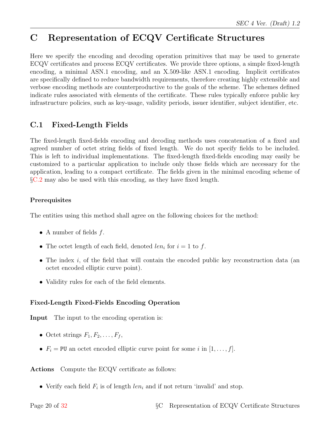# <span id="page-23-0"></span>C Representation of ECQV Certificate Structures

Here we specify the encoding and decoding operation primitives that may be used to generate ECQV certificates and process ECQV certificates. We provide three options, a simple fixed-length encoding, a minimal ASN.1 encoding, and an X.509-like ASN.1 encoding. Implicit certificates are specifically defined to reduce bandwidth requirements, therefore creating highly extensible and verbose encoding methods are counterproductive to the goals of the scheme. The schemes defined indicate rules associated with elements of the certificate. These rules typically enforce public key infrastructure policies, such as key-usage, validity periods, issuer identifier, subject identifier, etc.

# <span id="page-23-1"></span>C.1 Fixed-Length Fields

The fixed-length fixed-fields encoding and decoding methods uses concatenation of a fixed and agreed number of octet string fields of fixed length. We do not specify fields to be included. This is left to individual implementations. The fixed-length fixed-fields encoding may easily be customized to a particular application to include only those fields which are necessary for the application, leading to a compact certificate. The fields given in the minimal encoding scheme of §[C.2](#page-24-0) may also be used with this encoding, as they have fixed length.

#### Prerequisites

The entities using this method shall agree on the following choices for the method:

- A number of fields  $f$ .
- The octet length of each field, denoted  $len_i$  for  $i = 1$  to f.
- The index i, of the field that will contain the encoded public key reconstruction data (an octet encoded elliptic curve point).
- Validity rules for each of the field elements.

### Fixed-Length Fixed-Fields Encoding Operation

Input The input to the encoding operation is:

- Octet strings  $F_1, F_2, \ldots, F_f$ ,
- $F_i = \text{PU}$  an octet encoded elliptic curve point for some i in  $[1, \ldots, f]$ .

Actions Compute the ECQV certificate as follows:

• Verify each field  $F_i$  is of length  $len_i$  and if not return 'invalid' and stop.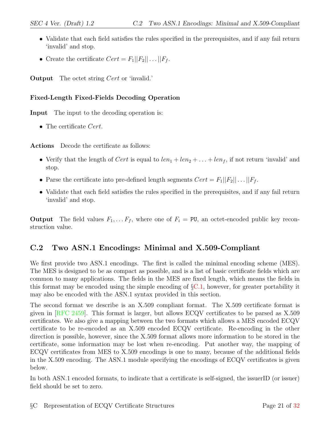- Validate that each field satisfies the rules specified in the prerequisites, and if any fail return 'invalid' and stop.
- Create the certificate  $Cert = F_1||F_2|| \dots ||F_f$ .

**Output** The octet string *Cert* or 'invalid.'

#### Fixed-Length Fixed-Fields Decoding Operation

Input The input to the decoding operation is:

• The certificate Cert.

Actions Decode the certificate as follows:

- Verify that the length of Cert is equal to  $len_1 + len_2 + \ldots + len_f$ , if not return 'invalid' and stop.
- Parse the certificate into pre-defined length segments  $Cert = F_1||F_2|| \dots ||F_f$ .
- Validate that each field satisfies the rules specified in the prerequisites, and if any fail return 'invalid' and stop.

**Output** The field values  $F_1, \ldots, F_f$ , where one of  $F_i = \text{PU}$ , an octet-encoded public key reconstruction value.

# <span id="page-24-0"></span>C.2 Two ASN.1 Encodings: Minimal and X.509-Compliant

We first provide two ASN.1 encodings. The first is called the minimal encoding scheme (MES). The MES is designed to be as compact as possible, and is a list of basic certificate fields which are common to many applications. The fields in the MES are fixed length, which means the fields in this format may be encoded using the simple encoding of  $\S$ [C.1,](#page-23-1) however, for greater portability it may also be encoded with the ASN.1 syntax provided in this section.

The second format we describe is an X.509 compliant format. The X.509 certificate format is given in [\[RFC 2459\]](#page-35-6). This format is larger, but allows ECQV certificates to be parsed as X.509 certificates. We also give a mapping between the two formats which allows a MES encoded ECQV certificate to be re-encoded as an X.509 encoded ECQV certificate. Re-encoding in the other direction is possible, however, since the X.509 format allows more information to be stored in the certificate, some information may be lost when re-encoding. Put another way, the mapping of ECQV certificates from MES to X.509 encodings is one to many, because of the additional fields in the X.509 encoding. The ASN.1 module specifying the encodings of ECQV certificates is given below.

In both ASN.1 encoded formats, to indicate that a certificate is self-signed, the issuerID (or issuer) field should be set to zero.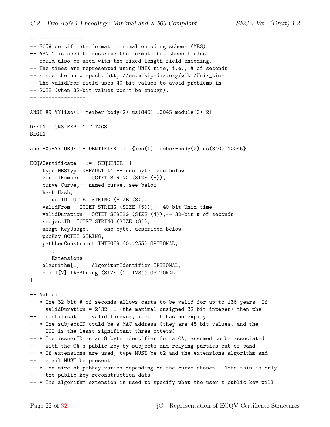-- ---------------

-- ECQV certificate format: minimal encoding scheme (MES) -- ASN.1 is used to describe the format, but these fields -- could also be used with the fixed-length field encoding. -- The times are represented using UNIX time, i.e., # of seconds -- since the unix epoch: http://en.wikipedia.org/wiki/Unix\_time -- The validFrom field uses 40-bit values to avoid problems in -- 2038 (when 32-bit values won't be enough). -- --------------- ANSI-X9-YY{iso(1) member-body(2) us(840) 10045 module(0) 2} DEFINITIONS EXPLICIT TAGS ::= BEGIN ansi-X9-YY OBJECT-IDENTIFIER ::= {iso(1) member-body(2) us(840) 10045} ECQVCertificate ::= SEQUENCE { type MESType DEFAULT t1,-- one byte, see below serialNumber OCTET STRING (SIZE (8)), curve Curve,-- named curve, see below hash Hash, issuerID OCTET STRING (SIZE (8)), validFrom OCTET STRING (SIZE (5)),-- 40-bit Unix time validDuration OCTET STRING (SIZE (4)),-- 32-bit # of seconds subjectID OCTET STRING (SIZE (8)), usage KeyUsage, -- one byte, described below pubKey OCTET STRING, pathLenConstraint INTEGER (0..255) OPTIONAL, ..., -- Extensions: algorithm[1] AlgorithmIdentifier OPTIONAL, email[2] IA5String (SIZE (0..128)) OPTIONAL } -- Notes: -- \* The 32-bit # of seconds allows certs to be valid for up to 136 years. If  $--$  validDuration =  $2^{\degree}32 -1$  (the maximal unsigned 32-bit integer) then the -- certificate is valid forever, i.e., it has no expiry -- \* The subjectID could be a MAC address (they are 48-bit values, and the -- OUI is the least significant three octets) -- \* The issuerID is an 8 byte identifier for a CA, assumed to be associated with the CA's public key by subjects and relying parties out of band. -- \* If extensions are used, type MUST be t2 and the extensions algorithm and -- email MUST be present. -- \* The size of pubKey varies depending on the curve chosen. Note this is only -- the public key reconstruction data. -- \* The algorithm extension is used to specify what the user's public key will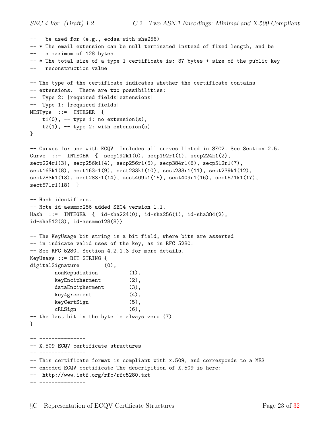```
-- be used for (e.g., ecdsa-with-sha256)
-- * The email extension can be null terminated instead of fixed length, and be
-- a maximum of 128 bytes.
-- * The total size of a type 1 certificate is: 37 bytes + size of the public key
-- reconstruction value
-- The type of the certificate indicates whether the certificate contains
-- extensions. There are two possibilities:
-- Type 2: |required fields|extensions|
-- Type 1: |required fields|
MESType ::= INTEGER {
   t1(0), - type 1: no extension(s),
   t2(1), -- type 2: with extension(s)
}
-- Curves for use with ECQV. Includes all curves listed in SEC2. See Section 2.5.
Curve ::= INTEGER { seq192k1(0), seq192r1(1), seq224k1(2),
secp224r1(3), secp256k1(4), secp256r1(5), secp384r1(6), secp512r1(7),
sect163k1(8), sect163r1(9), sect233k1(10), sect233r1(11), sect239k1(12),
sect283k1(13), sect283r1(14), sect409k1(15), sect409r1(16), sect571k1(17),
sect571r1(18) }
-- Hash identifiers.
-- Note id-aesmmo256 added SEC4 version 1.1.
Hash ::= INTEGER { id-sha224(0), id-sha256(1), id-sha384(2),
id-sha512(3), id-aesmmo128(8)}
-- The KeyUsage bit string is a bit field, where bits are asserted
-- in indicate valid uses of the key, as in RFC 5280.
-- See RFC 5280, Section 4.2.1.3 for more details.
KeyUsage ::= BIT STRING {
digitalSignature (0),
       nonRepudiation (1),
       keyEncipherment (2),
       dataEncipherment (3),
       keyAgreement (4),
       keyCertSign (5),
       cRLSign (6),
-- the last bit in the byte is always zero (7)
}
 -- ---------------
-- X.509 ECQV certificate structures
-- ---------------
-- This certificate format is compliant with x.509, and corresponds to a MES
-- encoded ECQV certificate The descripition of X.509 is here:
-- http://www.ietf.org/rfc/rfc5280.txt
-- ---------------
```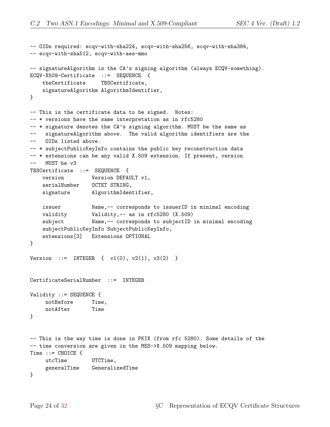```
-- OIDs required: ecqv-with-sha224, ecqv-with-sha256, ecqv-with-sha384,
-- ecqv-with-sha512, ecqv-with-aes-mmo
-- signatureAlgorithm is the CA's signing algorithm (always ECQV-something).
ECQV-X509-Certificate ::= SEQUENCE {
   tbsCertificate TBSCertificate,
   signatureAlgorithm AlgorithmIdentifier,
}
-- This is the certificate data to be signed. Notes:
-- * versions have the same interpretation as in rfc5280
-- * signature denotes the CA's signing algorithm. MUST be the same as
-- signatureAlgorithm above. The valid algorithm identifiers are the
-- OIDs listed above.
-- * subjectPublicKeyInfo contains the public key reconstruction data
-- * extensions can be any valid X.509 extension. If present, version
-- MUST be v3
TBSCertificate ::= SEQUENCE {
   version Version DEFAULT v1,
   serialNumber  OCTET STRING,
   signature AlgorithmIdentifier,
   issuer Name,-- corresponds to issuerID in minimal encoding
   validity Validity,-- as in rfc5280 (X.509)
   subject Name,-- corresponds to subjectID in minimal encoding
   subjectPublicKeyInfo SubjectPublicKeyInfo,
   extensions[3] Extensions OPTIONAL
}
Version ::= INTEGER { v1(0), v2(1), v3(2) }
CertificateSerialNumber ::= INTEGER
Validity ::= SEQUENCE {
    notBefore Time,
    notAfter Time
}
-- This is the way time is done in PKIX (from rfc 5280). Some details of the
-- time conversion are given in the MES->X.509 mapping below.
Time ::= CHOICE {
    utcTime UTCTime,
    generalTime GeneralizedTime
}
```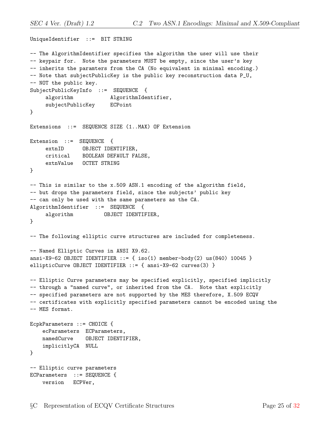```
UniqueIdentifier ::= BIT STRING
-- The AlgorithmIdentifier specifies the algorithm the user will use their
-- keypair for. Note the parameters MUST be empty, since the user's key
-- inherits the paramters from the CA (No equivalent in minimal encoding.)
-- Note that subjectPublicKey is the public key reconstruction data P_U,
-- NOT the public key.
SubjectPublicKeyInfo ::= SEQUENCE {
    algorithm \qquad AlgorithmIdentifier,
    subjectPublicKey ECPoint
}
Extensions ::= SEQUENCE SIZE (1..MAX) OF Extension
Extension ::= SEQUENCE {
    extnID OBJECT IDENTIFIER,
    critical BOOLEAN DEFAULT FALSE,
    extnValue OCTET STRING
}
-- This is similar to the x.509 ASN.1 encoding of the algorithm field,
-- but drops the parameters field, since the subjects' public key
-- can only be used with the same parameters as the CA.
AlgorithmIdentifier ::= SEQUENCE {
    algorithm OBJECT IDENTIFIER,
}
-- The following elliptic curve structures are included for completeness.
-- Named Elliptic Curves in ANSI X9.62.
ansi-X9-62 OBJECT IDENTIFIER ::= { iso(1) member-body(2) us(840) 10045 }
ellipticCurve OBJECT IDENTIFIER ::= { ansi-X9-62 curves(3) }
-- Elliptic Curve parameters may be specified explicitly, specified implicitly
-- through a "named curve", or inherited from the CA. Note that explicitly
-- specified parameters are not supported by the MES therefore, X.509 ECQV
-- certificates with explicitly specified parameters cannot be encoded using the
-- MES format.
EcpkParameters ::= CHOICE {
   ecParameters ECParameters,
   namedCurve OBJECT IDENTIFIER,
   implicitlyCA NULL
}
-- Elliptic curve parameters
ECParameters ::= SEQUENCE {
   version ECPVer,
```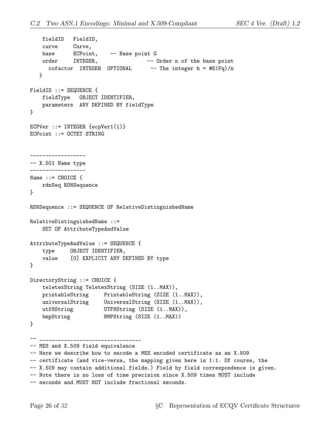```
fieldID FieldID,
   curve Curve,
   base ECPoint, -- Base point G
   order INTEGER, -- Order n of the base point
     cofactor INTEGER OPTIONAL -- The integer h = \#E(Fq)/n}
FieldID ::= SEQUENCE {
   fieldType OBJECT IDENTIFIER,
   parameters ANY DEFINED BY fieldType
}
ECPVer ::= INTEGER {ecpVer1(1)}
ECPoint ::= OCTET STRING
------------------
-- X.501 Name type
------------------
Name ::= CHOICE \{rdnSeq RDNSequence
}
RDNSequence ::= SEQUENCE OF RelativeDistinguishedName
RelativeDistinguishedName ::=
   SET OF AttributeTypeAndValue
AttributeTypeAndValue ::= SEQUENCE {
   type OBJECT IDENTIFIER,
   value [0] EXPLICIT ANY DEFINED BY type
}
DirectoryString ::= CHOICE {
   teletexString TeletexString (SIZE (1..MAX)),
    printableString PrintableString (SIZE (1..MAX)),
    universalString UniversalString (SIZE (1..MAX)),
    utf8String UTF8String (SIZE (1..MAX)),
    bmpString BMPString (SIZE (1..MAX))
}
-- _________________________________
-- MES and X.509 field equivalence
-- Here we describe how to encode a MES encoded certificate as an X.509
-- certificate (and vice-versa, the mapping given here is 1:1. Of course, the
-- X.509 may contain additional fields.) Field by field correspondence is given.
-- Note there is no loss of time precision since X.509 times MUST include
-- seconds and MUST NOT include fractional seconds.
```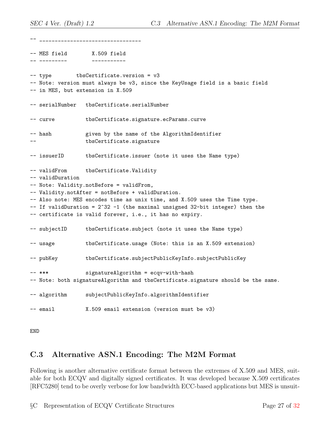-- \_\_\_\_\_\_\_\_\_\_\_\_\_\_\_\_\_\_\_\_\_\_\_\_\_\_\_\_\_\_\_\_\_ -- MES field X.509 field -- --------- ----------- -- type tbsCertificate.version = v3 -- Note: version must always be v3, since the KeyUsage field is a basic field -- in MES, but extension in X.509 -- serialNumber tbsCertificate.serialNumber -- curve tbsCertificate.signature.ecParams.curve -- hash given by the name of the AlgorithmIdentifier tbsCertificate.signature -- issuerID tbsCertificate.issuer (note it uses the Name type) -- validFrom tbsCertificate.Validity -- validDuration -- Note: Validity.notBefore = validFrom, -- Validity.notAfter = notBefore + validDuration. -- Also note: MES encodes time as unix time, and X.509 uses the Time type.  $--$  If validDuration =  $2^{\degree}32 -1$  (the maximal unsigned 32-bit integer) then the -- certificate is valid forever, i.e., it has no expiry. -- subjectID tbsCertificate.subject (note it uses the Name type) -- usage tbsCertificate.usage (Note: this is an X.509 extension) -- pubKey tbsCertificate.subjectPublicKeyInfo.subjectPublicKey -- \*\*\* signatureAlgorithm = ecqv-with-hash -- Note: both signatureAlgorithm and tbsCertificate.signature should be the same. -- algorithm subjectPublicKeyInfo.algorithmIdentifier -- email X.509 email extension (version must be v3)

END

## <span id="page-30-0"></span>C.3 Alternative ASN.1 Encoding: The M2M Format

Following is another alternative certificate format between the extremes of X.509 and MES, suitable for both ECQV and digitally signed certificates. It was developed because X.509 certificates [RFC5280] tend to be overly verbose for low bandwidth ECC-based applications but MES is unsuit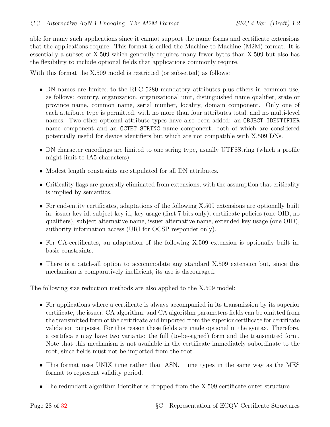able for many such applications since it cannot support the name forms and certificate extensions that the applications require. This format is called the Machine-to-Machine (M2M) format. It is essentially a subset of X.509 which generally requires many fewer bytes than X.509 but also has the flexibility to include optional fields that applications commonly require.

With this format the X.509 model is restricted (or subsetted) as follows:

- DN names are limited to the RFC 5280 mandatory attributes plus others in common use, as follows: country, organization, organizational unit, distinguished name qualifier, state or province name, common name, serial number, locality, domain component. Only one of each attribute type is permitted, with no more than four attributes total, and no multi-level names. Two other optional attribute types have also been added: an OBJECT IDENTIFIER name component and an OCTET STRING name component, both of which are considered potentially useful for device identifiers but which are not compatible with X.509 DNs.
- DN character encodings are limited to one string type, usually UTF8String (which a profile might limit to IA5 characters).
- Modest length constraints are stipulated for all DN attributes.
- Criticality flags are generally eliminated from extensions, with the assumption that criticality is implied by semantics.
- For end-entity certificates, adaptations of the following X.509 extensions are optionally built in: issuer key id, subject key id, key usage (first 7 bits only), certificate policies (one OID, no qualifiers), subject alternative name, issuer alternative name, extended key usage (one OID), authority information access (URI for OCSP responder only).
- For CA-certificates, an adaptation of the following X.509 extension is optionally built in: basic constraints.
- There is a catch-all option to accommodate any standard X.509 extension but, since this mechanism is comparatively inefficient, its use is discouraged.

The following size reduction methods are also applied to the X.509 model:

- For applications where a certificate is always accompanied in its transmission by its superior certificate, the issuer, CA algorithm, and CA algorithm parameters fields can be omitted from the transmitted form of the certificate and imported from the superior certificate for certificate validation purposes. For this reason these fields are made optional in the syntax. Therefore, a certificate may have two variants: the full (to-be-signed) form and the transmitted form. Note that this mechanism is not available in the certificate immediately subordinate to the root, since fields must not be imported from the root.
- This format uses UNIX time rather than ASN.1 time types in the same way as the MES format to represent validity period.
- The redundant algorithm identifier is dropped from the X.509 certificate outer structure.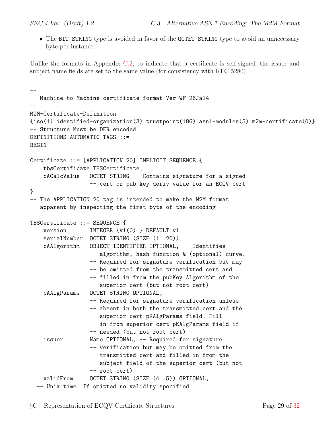• The BIT STRING type is avoided in favor of the OCTET STRING type to avoid an unnecessary byte per instance.

Unlike the formats in Appendix [C.2,](#page-24-0) to indicate that a certificate is self-signed, the issuer and subject name fields are set to the same value (for consistency with RFC 5280).

```
--
-- Machine-to-Machine certificate format Ver WF 26Ja14
--
M2M-Certificate-Definition
{iso(1) identified-organization(3) trustpoint(186) asn1-modules(5) m2m-certificate(0)}
-- Structure Must be DER encoded
DEFINITIONS AUTOMATIC TAGS ::=
BEGIN
Certificate ::= [APPLICATION 20] IMPLICIT SEQUENCE {
    tbsCertificate TBSCertificate,
    cACalcValue OCTET STRING -- Contains signature for a signed
                 -- cert or pub key deriv value for an ECQV cert
}
-- The APPLICATION 20 tag is intended to make the M2M format
-- apparent by inspecting the first byte of the encoding
TBSCertificate ::= SEQUENCE {
    version INTEGER \{v1(0)\} DEFAULT v1,
    serialNumber OCTET STRING (SIZE (1..20)),
    cAAlgorithm OBJECT IDENTIFIER OPTIONAL, -- Identifies
                 -- algorithm, hash function & (optional) curve.
                  -- Required for signature verification but may
                  -- be omitted from the transmitted cert and
                  -- filled in from the pubKey Algorithm of the
                  -- superior cert (but not root cert)
    cAAlgParams OCTET STRING OPTIONAL,
                 -- Required for signature verification unless
                  -- absent in both the transmitted cert and the
                  -- superior cert pKAlgParams field. Fill
                  -- in from superior cert pKAlgParams field if
                  -- needed (but not root cert)
    issuer Mame OPTIONAL, -- Required for signature
                  -- verification but may be omitted from the
                  -- transmitted cert and filled in from the
                  -- subject field of the superior cert (but not
                  -- root cert)
    validFrom OCTET STRING (SIZE (4..5)) OPTIONAL,
  -- Unix time. If omitted no validity specified
```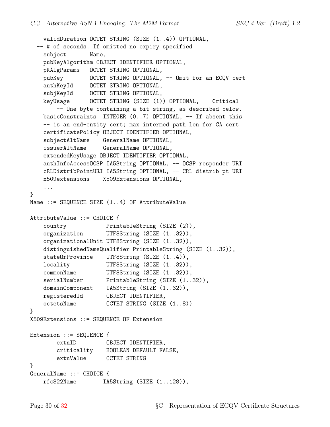```
validDuration OCTET STRING (SIZE (1..4)) OPTIONAL,
 -- # of seconds. If omitted no expiry specified
   subject Name,
   pubKeyAlgorithm OBJECT IDENTIFIER OPTIONAL,
   pKAlgParams OCTET STRING OPTIONAL,
   pubKey 0CTET STRING OPTIONAL, -- Omit for an ECQV cert
   authKeyId OCTET STRING OPTIONAL,
   subjKeyId OCTET STRING OPTIONAL,
   keyUsage OCTET STRING (SIZE (1)) OPTIONAL, -- Critical
       -- One byte containing a bit string, as described below.
   basicConstraints INTEGER (0..7) OPTIONAL, -- If absent this
   -- is an end-entity cert; max intermed path len for CA cert
   certificatePolicy OBJECT IDENTIFIER OPTIONAL,
   subjectAltName GeneralName OPTIONAL,
   issuerAltName GeneralName OPTIONAL,
   extendedKeyUsage OBJECT IDENTIFIER OPTIONAL,
   authInfoAccessOCSP IA5String OPTIONAL, -- OCSP responder URI
   cRLDistribPointURI IA5String OPTIONAL, -- CRL distrib pt URI
   x509extensions X509Extensions OPTIONAL,
    ...
}
Name  ::= SEQUENCE SIZE (1..4) OF AttributeValue
AttributeValue ::= CHOICE {
   country PrintableString (SIZE (2)),
   organization UTF8String (SIZE (1..32)),
   organizationalUnit UTF8String (SIZE (1..32)),
   distinguishedNameQualifier PrintableString (SIZE (1..32)),
   stateOrProvince UTF8String (SIZE (1..4)),
   locality UTF8String (SIZE (1..32)),
   commonName UTF8String (SIZE (1..32)),
   serialNumber PrintableString (SIZE (1..32)),
   domainComponent IA5String (SIZE (1..32)),
   registeredId OBJECT IDENTIFIER,
   octetsName OCTET STRING (SIZE (1..8))
}
X509Extensions ::= SEQUENCE OF Extension
Extension ::= SEQUENCE {
       extnID OBJECT IDENTIFIER,
       criticality BOOLEAN DEFAULT FALSE,
       extnValue OCTET STRING
}
GeneralName ::= CHOICE {
   rfc822Name IA5String (SIZE (1..128)),
```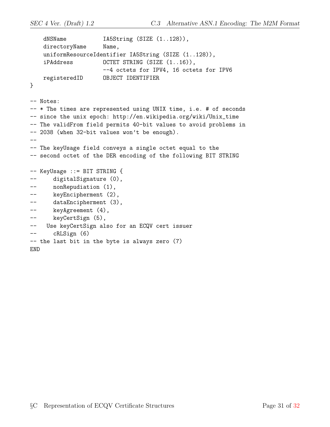```
dNSName IA5String (SIZE (1..128)),
   directoryName Name,
   uniformResourceIdentifier IA5String (SIZE (1..128)),
   iPAddress OCTET STRING (SIZE (1..16)),
                     --4 octets for IPV4, 16 octets for IPV6
   registeredID OBJECT IDENTIFIER
}
-- Notes:
-- * The times are represented using UNIX time, i.e. # of seconds
-- since the unix epoch: http://en.wikipedia.org/wiki/Unix_time
-- The validFrom field permits 40-bit values to avoid problems in
-- 2038 (when 32-bit values won't be enough).
--
-- The keyUsage field conveys a single octet equal to the
-- second octet of the DER encoding of the following BIT STRING
-- KeyUsage ::= BIT STRING {
-- digitalSignature (0),
-- nonRepudiation (1),
-- keyEncipherment (2),
-- dataEncipherment (3),
-- keyAgreement (4),
-- keyCertSign (5),
-- Use keyCertSign also for an ECQV cert issuer
-- cRLSign (6)
-- the last bit in the byte is always zero (7)
END
```